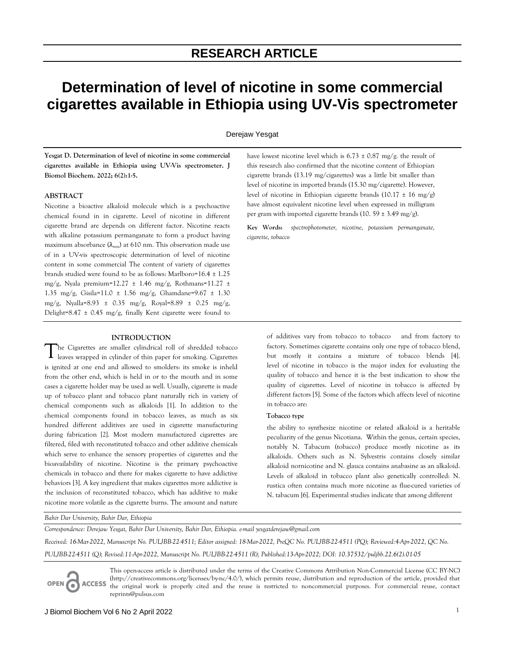# **Determination of level of nicotine in some commercial cigarettes available in Ethiopia using UV-Vis spectrometer**

Derejaw Yesgat

**Yesgat D. Determination of level of nicotine in some commercial cigarettes available in Ethiopia using UV-Vis spectrometer. J Biomol Biochem. 2022; 6(2):1-5.** 

## **ABSTRACT**

Nicotine a bioactive alkaloid molecule which is a psychoactive chemical found in in cigarette. Level of nicotine in different cigarette brand are depends on different factor. Nicotine reacts with alkaline potassium permanganate to form a product having maximum absorbance  $(\lambda_{\text{max}})$  at 610 nm. This observation made use of in a UV-vis spectroscopic determination of level of nicotine content in some commercial The content of variety of cigarettes brands studied were found to be as follows: Marlboro=16.4 ± 1.25 mg/g, Nyala premium=12.27  $\pm$  1.46 mg/g, Rothmans=11.27  $\pm$ 1.35 mg/g, Gisila=11.0 ± 1.56 mg/g, Ghamdane=9.67 ± 1.30 mg/g, Nyalla=8.93 ± 0.35 mg/g, Royal=8.89 ± 0.25 mg/g, Delight=8.47 ± 0.45 mg/g, finally Kent cigarette were found to

# **INTRODUCTION**

he Cigarettes are smaller cylindrical roll of shredded tobacco  $\begin{aligned} \bigcap \text{he Cigarettes are smaller cylindrical roll of threaded to bacco} \\ \text{leaves wrapped in cylinder of thin paper for smoking. Cigarettes} \end{aligned}$ is ignited at one end and allowed to smolders: its smoke is inheld from the other end, which is held in or to the mouth and in some cases a cigarette holder may be used as well. Usually, cigarette is made up of tobacco plant and tobacco plant naturally rich in variety of chemical components such as alkaloids [1]. In addition to the chemical components found in tobacco leaves, as much as six hundred different additives are used in cigarette manufacturing during fabrication [2]. Most modern manufactured cigarettes are filtered, filed with reconstituted tobacco and other additive chemicals which serve to enhance the sensory properties of cigarettes and the bioavailability of nicotine. Nicotine is the primary psychoactive chemicals in tobacco and there for makes cigarette to have addictive behaviors [3]. A key ingredient that makes cigarettes more addictive is the inclusion of reconstituted tobacco, which has additive to make nicotine more volatile as the cigarette burns. The amount and nature

have lowest nicotine level which is  $6.73 \pm 0.87$  mg/g. the result of this research also confirmed that the nicotine content of Ethiopian cigarette brands (13.19 mg/cigarettes) was a little bit smaller than level of nicotine in imported brands (15.30 mg/cigarette). However, level of nicotine in Ethiopian cigarette brands (10.17  $\pm$  16 mg/g) have almost equivalent nicotine level when expressed in milligram per gram with imported cigarette brands (10. 59  $\pm$  3.49 mg/g).

**Key Words:** *spectrophotometer, nicotine, potassium permanganate, cigarette, tobacco*

> of additives vary from tobacco to tobacco and from factory to factory. Sometimes cigarette contains only one type of tobacco blend, but mostly it contains a mixture of tobacco blends [4]. level of nicotine in tobacco is the major index for evaluating the quality of tobacco and hence it is the best indication to show the quality of cigarettes. Level of nicotine in tobacco is affected by different factors [5]. Some of the factors which affects level of nicotine in tobacco are:

#### **Tobacco type**

the ability to synthesize nicotine or related alkaloid is a heritable peculiarity of the genus Nicotiana. Within the genus, certain species, notably N. Tabacum (tobacco) produce mostly nicotine as its alkaloids. Others such as N. Sylvestris contains closely similar alkaloid nornicotine and N. glauca contains anabasine as an alkaloid. Levels of alkaloid in tobacco plant also genetically controlled: N. rustica often contains much more nicotine as flue-cured varieties of N. tabacum [6]. Experimental studies indicate that among different

*Bahir Dar University, Bahir Dar, Ethiopia*

*Correspondence: Derejaw Yesgat, Bahir Dar University, Bahir Dar, Ethiopia. e-mail yesgatderejaw@gmail.com*

*Received: 16-Mar-2022, Manuscript No. PULJBB-22-4511; Editor assigned: 18-Mar-2022, PreQC No. PULJBB-22-4511 (PQ); Reviewed:4-Apr-2022, QC No.*

*PULJBB-22-4511 (Q); Revised:11-Apr-2022, Manuscript No. PULJBB-22-4511 (R); Published:13-Apr-2022; DOI: 10.37532/puljbb.22.6(2).01-05*

OPEN C **ACCESS** 

This open-access article is distributed under the terms of the Creative Commons Attribution Non-Commercial License (CC BY-NC) (http://creativecommons.org/licenses/by-nc/4.0/), which permits reuse, distribution and reproduction of the article, provided that the original work is properly cited and the reuse is restricted to noncommercial purposes. For commercial reuse, contact reprints@pulsus.com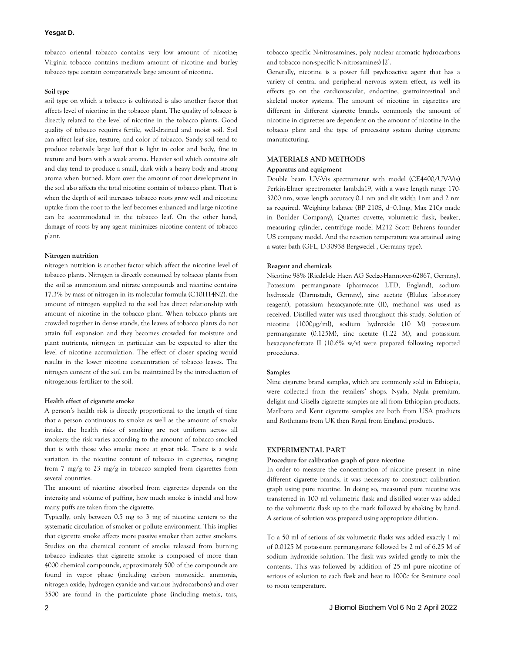## **Yesgat D.**

tobacco oriental tobacco contains very low amount of nicotine; Virginia tobacco contains medium amount of nicotine and burley tobacco type contain comparatively large amount of nicotine.

#### **Soil type**

soil type on which a tobacco is cultivated is also another factor that affects level of nicotine in the tobacco plant. The quality of tobacco is directly related to the level of nicotine in the tobacco plants. Good quality of tobacco requires fertile, well-drained and moist soil. Soil can affect leaf size, texture, and color of tobacco. Sandy soil tend to produce relatively large leaf that is light in color and body, fine in texture and burn with a weak aroma. Heavier soil which contains silt and clay tend to produce a small, dark with a heavy body and strong aroma when burned. More over the amount of root development in the soil also affects the total nicotine contain of tobacco plant. That is when the depth of soil increases tobacco roots grow well and nicotine uptake from the root to the leaf becomes enhanced and large nicotine can be accommodated in the tobacco leaf. On the other hand, damage of roots by any agent minimizes nicotine content of tobacco plant.

#### **Nitrogen nutrition**

nitrogen nutrition is another factor which affect the nicotine level of tobacco plants. Nitrogen is directly consumed by tobacco plants from the soil as ammonium and nitrate compounds and nicotine contains 17.3% by mass of nitrogen in its molecular formula (C10H14N2). the amount of nitrogen supplied to the soil has direct relationship with amount of nicotine in the tobacco plant. When tobacco plants are crowded together in dense stands, the leaves of tobacco plants do not attain full expansion and they becomes crowded for moisture and plant nutrients, nitrogen in particular can be expected to alter the level of nicotine accumulation. The effect of closer spacing would results in the lower nicotine concentration of tobacco leaves. The nitrogen content of the soil can be maintained by the introduction of nitrogenous fertilizer to the soil.

## **Health effect of cigarette smoke**

A person's health risk is directly proportional to the length of time that a person continuous to smoke as well as the amount of smoke intake. the health risks of smoking are not uniform across all smokers; the risk varies according to the amount of tobacco smoked that is with those who smoke more at great risk. There is a wide variation in the nicotine content of tobacco in cigarettes, ranging from 7 mg/g to 23 mg/g in tobacco sampled from cigarettes from several countries.

The amount of nicotine absorbed from cigarettes depends on the intensity and volume of puffing, how much smoke is inheld and how many puffs are taken from the cigarette.

Typically, only between 0.5 mg to 3 mg of nicotine centers to the systematic circulation of smoker or pollute environment. This implies that cigarette smoke affects more passive smoker than active smokers. Studies on the chemical content of smoke released from burning tobacco indicates that cigarette smoke is composed of more than 4000 chemical compounds, approximately 500 of the compounds are found in vapor phase (including carbon monoxide, ammonia, nitrogen oxide, hydrogen cyanide and various hydrocarbons) and over 3500 are found in the particulate phase (including metals, tars,

tobacco specific N-nitrosamines, poly nuclear aromatic hydrocarbons and tobacco non-specific N-nitrosamines) [2].

Generally, nicotine is a power full psychoactive agent that has a variety of central and peripheral nervous system effect, as well its effects go on the cardiovascular, endocrine, gastrointestinal and skeletal motor systems. The amount of nicotine in cigarettes are different in different cigarette brands. commonly the amount of nicotine in cigarettes are dependent on the amount of nicotine in the tobacco plant and the type of processing system during cigarette manufacturing.

# **MATERIALS AND METHODS**

## **Apparatus and equipment**

Double beam UV-Vis spectrometer with model (CE4400/UV-Vis) Perkin-Elmer spectrometer lambda19, with a wave length range 170- 3200 nm, wave length accuracy 0.1 nm and slit width 1nm and 2 nm as required. Weighing balance (BP 210S, d=0.1mg, Max 210g made in Boulder Company), Quartez cuvette, volumetric flask, beaker, measuring cylinder, centrifuge model M212 Scott Behrens founder US company model. And the reaction temperature was attained using a water bath (GFL, D-30938 Bergwedel , Germany type).

#### **Reagent and chemicals**

Nicotine 98% (Riedel-de Haen AG Seelze-Hannover-62867, Germny), Potassium permanganate (pharmacos LTD, England), sodium hydroxide (Darmstadt, Germny), zinc acetate (Blulux laboratory reagent), potassium hexacyanoferrate (II), methanol was used as received. Distilled water was used throughout this study. Solution of nicotine (1000µg/ml), sodium hydroxide (10 M) potassium permanganate (0.125M), zinc acetate (1.22 M), and potassium hexacyanoferrate II (10.6% w/v) were prepared following reported procedures.

#### **Samples**

Nine cigarette brand samples, which are commonly sold in Ethiopia, were collected from the retailers' shops. Nyala, Nyala premium, delight and Gisella cigarette samples are all from Ethiopian products, Marlboro and Kent cigarette samples are both from USA products and Rothmans from UK then Royal from England products.

## **EXPERIMENTAL PART**

# **Procedure for calibration graph of pure nicotine**

In order to measure the concentration of nicotine present in nine different cigarette brands, it was necessary to construct calibration graph using pure nicotine. In doing so, measured pure nicotine was transferred in 100 ml volumetric flask and distilled water was added to the volumetric flask up to the mark followed by shaking by hand. A serious of solution was prepared using appropriate dilution.

To a 50 ml of serious of six volumetric flasks was added exactly 1 ml of 0.0125 M potassium permanganate followed by 2 ml of 6.25 M of sodium hydroxide solution. The flask was swirled gently to mix the contents. This was followed by addition of 25 ml pure nicotine of serious of solution to each flask and heat to 1000c for 8-minute cool to room temperature.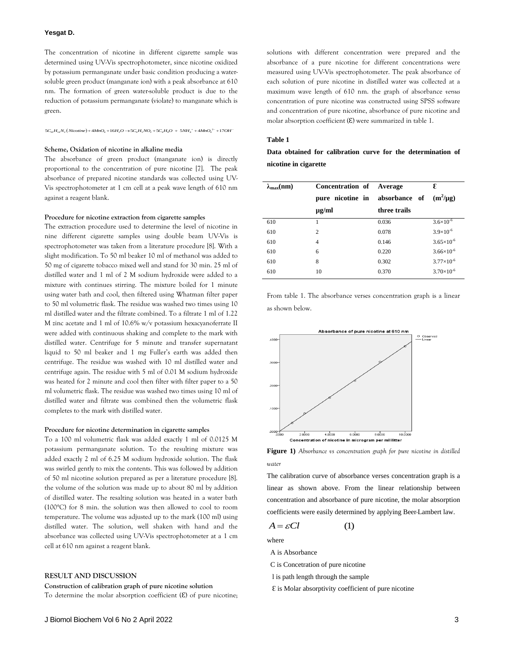#### **Yesgat D.**

The concentration of nicotine in different cigarette sample was determined using UV-Vis spectrophotometer, since nicotine oxidized by potassium permanganate under basic condition producing a watersoluble green product (manganate ion) with a peak absorbance at 610 nm. The formation of green water-soluble product is due to the reduction of potassium permanganate (violate) to manganate which is<br>green.<br>*5C*<sub>10</sub>H<sub>14</sub>N<sub>2</sub>(Nicotine)+4MnO<sub>4</sub>+16H<sub>2</sub>O→5C<sub>6</sub>H<sub>3</sub>NO<sub>2</sub>+5C<sub>4</sub>H<sub>8</sub>O + 5NH<sub>4</sub><sup>+</sup>+4MnO<sub>4</sub><sup>2+</sup>+17OH<sup>-</sup> green.

 $5C_0H_{14}N_2(Nicotine) + 4MnO_4 + 16H_2O \rightarrow 5C_6H_5NO_2 + 5C_4H_9O + 5NH_4 + 4MnO_4^{2-} + 17OH$ 

## **Scheme, Oxidation of nicotine in alkaline media**

The absorbance of green product (manganate ion) is directly proportional to the concentration of pure nicotine [7]. The peak absorbance of prepared nicotine standards was collected using UV-Vis spectrophotometer at 1 cm cell at a peak wave length of 610 nm against a reagent blank.

#### **Procedure for nicotine extraction from cigarette samples**

The extraction procedure used to determine the level of nicotine in nine different cigarette samples using double beam UV-Vis is spectrophotometer was taken from a literature procedure [8]. With a slight modification. To 50 ml beaker 10 ml of methanol was added to 50 mg of cigarette tobacco mixed well and stand for 30 min. 25 ml of distilled water and 1 ml of 2 M sodium hydroxide were added to a mixture with continues stirring. The mixture boiled for 1 minute using water bath and cool, then filtered using Whatman filter paper to 50 ml volumetric flask. The residue was washed two times using 10 ml distilled water and the filtrate combined. To a filtrate 1 ml of 1.22 M zinc acetate and 1 ml of 10.6% w/v potassium hexacyanoferrate II were added with continuous shaking and complete to the mark with distilled water. Centrifuge for 5 minute and transfer supernatant liquid to 50 ml beaker and 1 mg Fuller's earth was added then centrifuge. The residue was washed with 10 ml distilled water and centrifuge again. The residue with 5 ml of 0.01 M sodium hydroxide was heated for 2 minute and cool then filter with filter paper to a 50 ml volumetric flask. The residue was washed two times using 10 ml of distilled water and filtrate was combined then the volumetric flask completes to the mark with distilled water.

#### **Procedure for nicotine determination in cigarette samples**

To a 100 ml volumetric flask was added exactly 1 ml of 0.0125 M potassium permanganate solution. To the resulting mixture was added exactly 2 ml of 6.25 M sodium hydroxide solution. The flask was swirled gently to mix the contents. This was followed by addition of 50 ml nicotine solution prepared as per a literature procedure [8]. the volume of the solution was made up to about 80 ml by addition of distilled water. The resalting solution was heated in a water bath (100°C) for 8 min. the solution was then allowed to cool to room temperature. The volume was adjusted up to the mark (100 ml) using distilled water. The solution, well shaken with hand and the absorbance was collected using UV-Vis spectrophotometer at a 1 cm cell at 610 nm against a reagent blank.

# **RESULT AND DISCUSSION**

#### **Construction of calibration graph of pure nicotine solution**

To determine the molar absorption coefficient  $(E)$  of pure nicotine;

solutions with different concentration were prepared and the absorbance of a pure nicotine for different concentrations were measured using UV-Vis spectrophotometer. The peak absorbance of each solution of pure nicotine in distilled water was collected at a maximum wave length of 610 nm. the graph of absorbance *versus* concentration of pure nicotine was constructed using SPSS software and concentration of pure nicotine, absorbance of pure nicotine and molar absorption coefficient  $(E)$  were summarized in table 1.

# **Table 1**

# **Data obtained for calibration curve for the determination of nicotine in cigarette**

| $\lambda_{\max}$ (nm) | <b>Concentration of</b> | Average       | E                   |
|-----------------------|-------------------------|---------------|---------------------|
|                       | pure nicotine in        | absorbance of | $(m^2/\mu g)$       |
|                       | µg/ml                   | three trails  |                     |
| 610                   |                         | 0.036         | $3.6\times10^{-6}$  |
| 610                   | $\overline{c}$          | 0.078         | $3.9\times10^{-6}$  |
| 610                   | 4                       | 0.146         | $3.65\times10^{-6}$ |
| 610                   | 6                       | 0.220         | $3.66\times10^{-6}$ |
| 610                   | 8                       | 0.302         | $3.77\times10^{-6}$ |
| 610                   | 10                      | 0.370         | $3.70\times10^{-6}$ |

From table 1. The absorbance verses concentration graph is a linear as shown below.



**Figure 1)** *Absorbance vs concentration graph for pure nicotine in distilled water* 

The calibration curve of absorbance verses concentration graph is a linear as shown above. From the linear relationship between concentration and absorbance of pure nicotine, the molar absorption coefficients were easily determined by applying Beer-Lambert law.

$$
A = \varepsilon Cl \tag{1}
$$

where

A is Absorbance

C is Concetration of pure nicotine

- l is path length through the sample
- $\epsilon$  is Molar absorptivity coefficient of pure nicotine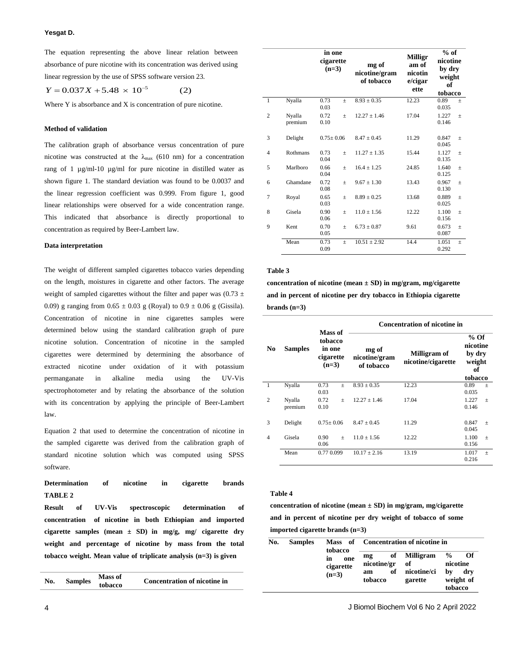The equation representing the above linear relation between absorbance of pure nicotine with its concentration was derived using linear regression by the use of SPSS software version 23.<br>  $Y = 0.037X + 5.48 \times 10^{-5}$  (2)

$$
Y = 0.037X + 5.48 \times 10^{-5}
$$
 (2)

Where Y is absorbance and X is concentration of pure nicotine.

# **Method of validation**

The calibration graph of absorbance versus concentration of pure nicotine was constructed at the  $\lambda_{\text{max}}$  (610 nm) for a concentration rang of 1 µg/ml-10 µg/ml for pure nicotine in distilled water as shown figure 1. The standard deviation was found to be 0.0037 and the linear regression coefficient was 0.999. From figure 1, good linear relationships were observed for a wide concentration range. This indicated that absorbance is directly proportional to concentration as required by Beer-Lambert law.

#### **Data interpretation**

The weight of different sampled cigarettes tobacco varies depending on the length, moistures in cigarette and other factors. The average weight of sampled cigarettes without the filter and paper was (0.73  $\pm$ 0.09) g ranging from  $0.65 \pm 0.03$  g (Royal) to  $0.9 \pm 0.06$  g (Gissila). Concentration of nicotine in nine cigarettes samples were determined below using the standard calibration graph of pure nicotine solution. Concentration of nicotine in the sampled cigarettes were determined by determining the absorbance of extracted nicotine under oxidation of it with potassium permanganate in alkaline media using the UV-Vis spectrophotometer and by relating the absorbance of the solution with its concentration by applying the principle of Beer-Lambert law.

Equation 2 that used to determine the concentration of nicotine in the sampled cigarette was derived from the calibration graph of standard nicotine solution which was computed using SPSS software.

# **Determination of nicotine in cigarette brands TABLE 2**

**Result of UV-Vis spectroscopic determination of concentration of nicotine in both Ethiopian and imported cigarette samples (mean ± SD) in mg/g, mg/ cigarette dry weight and percentage of nicotine by mass from the total tobacco weight. Mean value of triplicate analysis (n=3) is given** 

| No. | <b>Samples</b> | <b>Mass of</b><br>tobacco | Concentration of nicotine in |
|-----|----------------|---------------------------|------------------------------|
|-----|----------------|---------------------------|------------------------------|

|                |                   | in one<br>cigarette<br>$(n=3)$ |       | mg of<br>nicotine/gram<br>of tobacco | <b>Milligr</b><br>am of<br>nicotin<br>e/cigar<br>ette | $%$ of<br>nicotine<br>by dry<br>weight<br>of<br>tobacco |                 |
|----------------|-------------------|--------------------------------|-------|--------------------------------------|-------------------------------------------------------|---------------------------------------------------------|-----------------|
| ī              | Nyalla            | 0.73<br>0.03                   | $+$   | $8.93 \pm 0.35$                      | 12.23                                                 | 0.89<br>0.035                                           | $\! + \!\!\!\!$ |
| $\overline{c}$ | Nyalla<br>premium | 0.72<br>0.10                   | $\pm$ | $12.27 + 1.46$                       | 17.04                                                 | 1.227<br>0.146                                          | $\pm$           |
| 3              | Delight           | $0.75 \pm 0.06$                |       | $8.47 \pm 0.45$                      | 11.29                                                 | 0.847<br>0.045                                          | $\pm$           |
| 4              | Rothmans          | 0.73<br>0.04                   | $\pm$ | $11.27 \pm 1.35$                     | 15.44                                                 | 1.127<br>0.135                                          | $\pm$           |
| 5              | Marlboro          | 0.66<br>0.04                   | $\pm$ | $16.4 \pm 1.25$                      | 24.85                                                 | 1.640<br>0.125                                          | $\pm$           |
| 6              | Ghamdane          | 0.72<br>0.08                   | $\pm$ | $9.67 \pm 1.30$                      | 13.43                                                 | 0.967<br>0.130                                          | $\pm$           |
| 7              | Royal             | 0.65<br>0.03                   | $\pm$ | $8.89 \pm 0.25$                      | 13.68                                                 | 0.889<br>0.025                                          | $\pm$           |
| 8              | Gisela            | 0.90<br>0.06                   | $\pm$ | $11.0 \pm 1.56$                      | 12.22                                                 | 1.100<br>0.156                                          | $\pm$           |
| 9              | Kent              | 0.70<br>0.05                   | $\pm$ | $6.73 \pm 0.87$                      | 9.61                                                  | 0.673<br>0.087                                          | $\pm$           |
|                | Mean              | 0.73<br>0.09                   | $\pm$ | $10.51 \pm 2.92$                     | 14.4                                                  | 1.051<br>0.292                                          | $\pm$           |

#### **Table 3**

**concentration of nicotine (mean ± SD) in mg/gram, mg/cigarette and in percent of nicotine per dry tobacco in Ethiopia cigarette brands (n=3)** 

|                |                   |                                                      | <b>Concentration of nicotine in</b>  |                                    |                                                         |  |  |
|----------------|-------------------|------------------------------------------------------|--------------------------------------|------------------------------------|---------------------------------------------------------|--|--|
| N <sub>0</sub> | <b>Samples</b>    | Mass of<br>tobacco<br>in one<br>cigarette<br>$(n=3)$ | mg of<br>nicotine/gram<br>of tobacco | Milligram of<br>nicotine/cigarette | $%$ Of<br>nicotine<br>by dry<br>weight<br>оf<br>tobacco |  |  |
| 1              | Nyalla            | 0.73<br>$\! + \!\!\!\!$<br>0.03                      | $8.93 + 0.35$                        | 12.23                              | 0.89<br>$\qquad \qquad +$<br>0.035                      |  |  |
| $\overline{c}$ | Nyalla<br>premium | 0.72<br>$+$<br>0.10                                  | $12.27 + 1.46$                       | 17.04                              | 1.227<br>$\! + \!\!\!\!$<br>0.146                       |  |  |
| 3              | Delight           | $0.75 + 0.06$                                        | $8.47 \pm 0.45$                      | 11.29                              | 0.847<br>$\pm$<br>0.045                                 |  |  |
| $\overline{4}$ | Gisela            | 0.90<br>$+$<br>0.06                                  | $11.0 \pm 1.56$                      | 12.22                              | 1.100<br>$\pm$<br>0.156                                 |  |  |
|                | Mean              | 0.77 0.099                                           | $10.17 \pm 2.16$                     | 13.19                              | 1.017<br>$\! + \!\!\!\!$<br>0.216                       |  |  |

#### **Table 4**

**concentration of nicotine (mean ± SD) in mg/gram, mg/cigarette and in percent of nicotine per dry weight of tobacco of some imported cigarette brands (n=3)** 

| No. | <b>Samples</b> | tobacco                           | Mass of Concentration of nicotine in           |                                           |                                                                      |
|-----|----------------|-----------------------------------|------------------------------------------------|-------------------------------------------|----------------------------------------------------------------------|
|     |                | one<br>in<br>cigarette<br>$(n=3)$ | of<br>mg<br>nicotine/gr<br>of<br>am<br>tobacco | Milligram<br>of<br>nicotine/ci<br>garette | $\frac{0}{0}$<br>Оf<br>nicotine<br>hv<br>drv<br>weight of<br>tobacco |